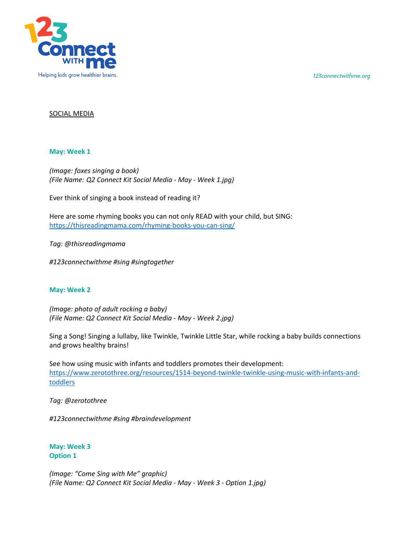*123connectwithme.org*



## SOCIAL MEDIA

### **May: Week 1**

*(Image: foxes singing a book) (File Name: Q2 Connect Kit Social Media - May - Week 1.jpg)*

Ever think of singing a book instead of reading it?

Here are some rhyming books you can not only READ with your child, but SING: https://thisreadingmama.com/rhyming-books-you-can-sing/

*Tag: @thisreadingmama*

*#123connectwithme #sing #singtogether*

#### **May: Week 2**

*(Image: photo of adult rocking a baby) (File Name: Q2 Connect Kit Social Media - May - Week 2.jpg)*

Sing a Song! Singing a lullaby, like Twinkle, Twinkle Little Star, while rocking a baby builds connections and grows healthy brains!

See how using music with infants and toddlers promotes their development: https://www.zerotothree.org/resources/1514-beyond-twinkle-twinkle-using-music-with-infants-andtoddlers

*Tag: @zerotothree*

*#123connectwithme #sing #braindevelopment*

**May: Week 3 Option 1**

*(Image: "Come Sing with Me" graphic) (File Name: Q2 Connect Kit Social Media - May - Week 3 - Option 1.jpg)*